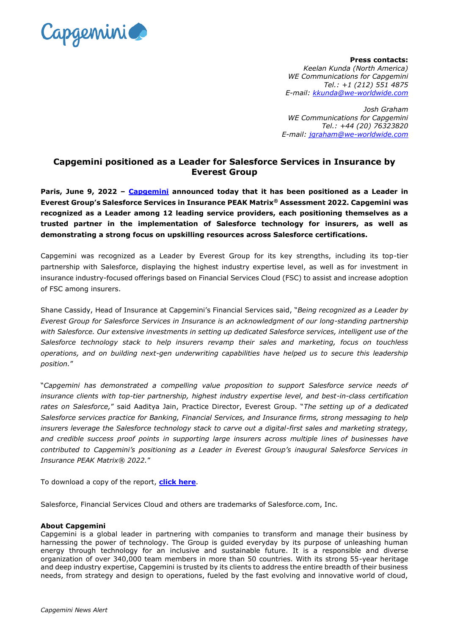

**Press contacts:**  *Keelan Kunda (North America) WE Communications for Capgemini Tel.: +1 (212) 551 4875 E-mail: [kkunda@we-worldwide.com](mailto:kkunda@we-worldwide.com)*

*Josh Graham WE Communications for Capgemini Tel.: +44 (20) 76323820 E-mail: [jgraham@we-worldwide.com](mailto:jgraham@we-worldwide.com)*

## **Capgemini positioned as a Leader for Salesforce Services in Insurance by Everest Group**

**Paris, June 9, 2022 – [Capgemini](http://www.capgemini.com/) announced today that it has been positioned as a Leader in Everest Group's Salesforce Services in Insurance PEAK Matrix® Assessment 2022. Capgemini was recognized as a Leader among 12 leading service providers, each positioning themselves as a trusted partner in the implementation of Salesforce technology for insurers, as well as demonstrating a strong focus on upskilling resources across Salesforce certifications.** 

Capgemini was recognized as a Leader by Everest Group for its key strengths, including its top-tier partnership with Salesforce, displaying the highest industry expertise level, as well as for investment in insurance industry-focused offerings based on Financial Services Cloud (FSC) to assist and increase adoption of FSC among insurers.

Shane Cassidy, Head of Insurance at Capgemini's Financial Services said, "*Being recognized as a Leader by Everest Group for Salesforce Services in Insurance is an acknowledgment of our long-standing partnership with Salesforce. Our extensive investments in setting up dedicated Salesforce services, intelligent use of the Salesforce technology stack to help insurers revamp their sales and marketing, focus on touchless operations, and on building next-gen underwriting capabilities have helped us to secure this leadership position.*"

"*Capgemini has demonstrated a compelling value proposition to support Salesforce service needs of insurance clients with top-tier partnership, highest industry expertise level, and best-in-class certification rates on Salesforce,*" said Aaditya Jain, Practice Director, Everest Group. "*The setting up of a dedicated Salesforce services practice for Banking, Financial Services, and Insurance firms, strong messaging to help insurers leverage the Salesforce technology stack to carve out a digital-first sales and marketing strategy, and credible success proof points in supporting large insurers across multiple lines of businesses have contributed to Capgemini's positioning as a Leader in Everest Group's inaugural Salesforce Services in Insurance PEAK Matrix® 2022.*"

To download a copy of the report, **[click here](https://www.capgemini.com/resources/capgemini-positioned-as-a-leader-by-everest-group-for-salesforce-services-in-insurance/)**.

Salesforce, Financial Services Cloud and others are trademarks of Salesforce.com, Inc.

## **About Capgemini**

Capgemini is a global leader in partnering with companies to transform and manage their business by harnessing the power of technology. The Group is guided everyday by its purpose of unleashing human energy through technology for an inclusive and sustainable future. It is a responsible and diverse organization of over 340,000 team members in more than 50 countries. With its strong 55-year heritage and deep industry expertise, Capgemini is trusted by its clients to address the entire breadth of their business needs, from strategy and design to operations, fueled by the fast evolving and innovative world of cloud,